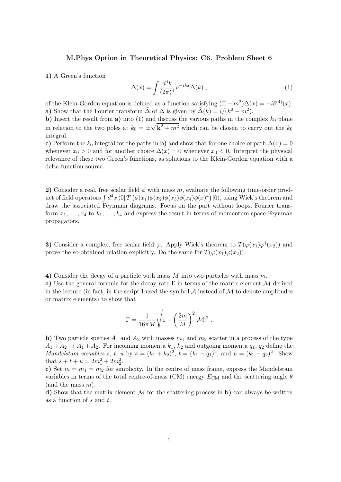## M.Phys Option in Theoretical Physics: C6. Problem Sheet 6

1) A Green's function

$$
\Delta(x) = \int \frac{d^4k}{(2\pi)^4} e^{-ikx} \tilde{\Delta}(k) , \qquad (1)
$$

of the Klein-Gordon equation is defined as a function satisfying  $(\Box + m^2)\Delta(x) = -i\delta^{(4)}(x)$ . a) Show that the Fourier transform  $\tilde{\Delta}$  of  $\Delta$  is given by  $\tilde{\Delta}(k) = i/(k^2 - m^2)$ .

b) Insert the result from a) into (1) and discuss the various paths in the complex  $k_0$  plane in relation to the two poles at  $k_0 = \pm \sqrt{k^2 + m^2}$  which can be chosen to carry out the  $k_0$ integral.

c) Perform the  $k_0$  integral for the paths in b) and show that for one choice of path  $\Delta(x) = 0$ whenever  $x_0 > 0$  and for another choice  $\Delta(x) = 0$  whenever  $x_0 < 0$ . Interpret the physical relevance of these two Green's functions, as solutions to the Klein-Gordon equation with a delta function source.

2) Consider a real, free scalar field  $\phi$  with mass m, evaluate the following time-order product of field operators  $\int d^4x \, \langle 0|T\left(\phi(x_1)\phi(x_2)\phi(x_3)\phi(x_4)\phi(x)^4\right)|0\rangle$ , using Wick's theorem and draw the associated Feynman diagrams. Focus on the part without loops, Fourier transform  $x_1, \ldots, x_4$  to  $k_1, \ldots, k_4$  and express the result in terms of momentum-space Feynman propagators.

3) Consider a complex, free scalar field  $\varphi$ . Apply Wick's theorem to  $T(\varphi(x_1)\varphi^{\dagger}(x_2))$  and prove the so-obtained relation explicitly. Do the same for  $T(\varphi(x_1)\varphi(x_2))$ .

4) Consider the decay of a particle with mass  $M$  into two particles with mass  $m$ .

a) Use the general formula for the decay rate  $\Gamma$  in terms of the matrix element M derived in the lecture (in fact, in the script I used the symbol  $A$  instead of  $M$  to denote amplitudes or matrix elements) to show that

$$
\Gamma = \frac{1}{16\pi M} \sqrt{1-\left(\frac{2m}{M}\right)^2} |\mathcal{M}|^2 \; .
$$

b) Two particle species  $A_1$  and  $A_2$  with masses  $m_1$  and  $m_2$  scatter in a process of the type  $A_1 + A_2 \rightarrow A_1 + A_2$ . For incoming momenta  $k_1, k_2$  and outgoing momenta  $q_1, q_2$  define the Mandelstam variables s, t, u by  $s = (k_1 + k_2)^2$ ,  $t = (k_1 - q_1)^2$ , and  $u = (k_1 - q_2)^2$ . Show that  $s + t + u = 2m_1^2 + 2m_2^2$ .

c) Set  $m = m_1 = m_2$  for simplicity. In the centre of mass frame, express the Mandelstam variables in terms of the total centre-of-mass (CM) energy  $E_{\text{CM}}$  and the scattering angle  $\theta$ (and the mass  $m$ ).

d) Show that the matrix element  $\mathcal M$  for the scattering process in b) can always be written as a function of s and t.